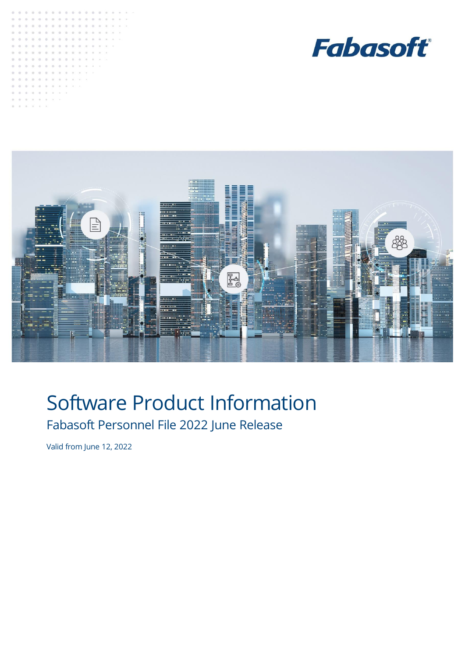





# Software Product Information Fabasoft Personnel File 2022 June Release

Valid from June 12, 2022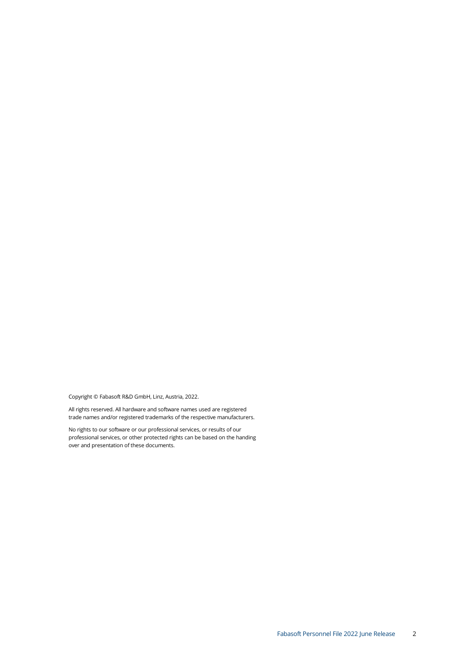Copyright © Fabasoft R&D GmbH, Linz, Austria, 2022.

All rights reserved. All hardware and software names used are registered trade names and/or registered trademarks of the respective manufacturers.

No rights to our software or our professional services, or results of our professional services, or other protected rights can be based on the handing over and presentation of these documents.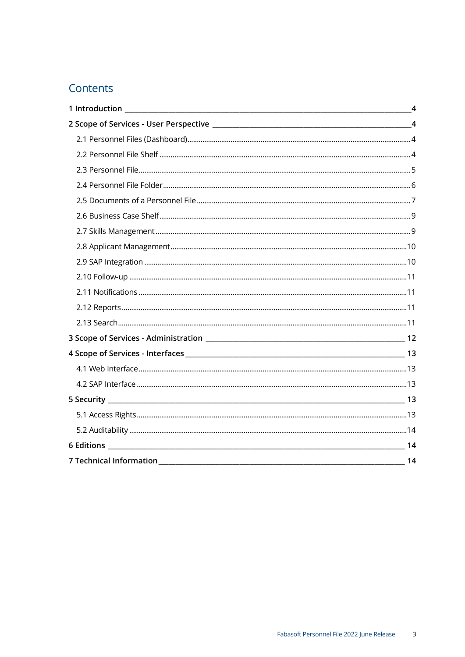# Contents

|                         | $\overline{4}$ |
|-------------------------|----------------|
|                         | $\overline{4}$ |
|                         |                |
|                         |                |
|                         |                |
|                         |                |
|                         |                |
|                         |                |
|                         |                |
|                         |                |
|                         |                |
|                         |                |
|                         |                |
|                         |                |
|                         |                |
|                         |                |
|                         |                |
|                         |                |
|                         |                |
|                         |                |
|                         |                |
|                         |                |
|                         |                |
| 7 Technical Information | 14             |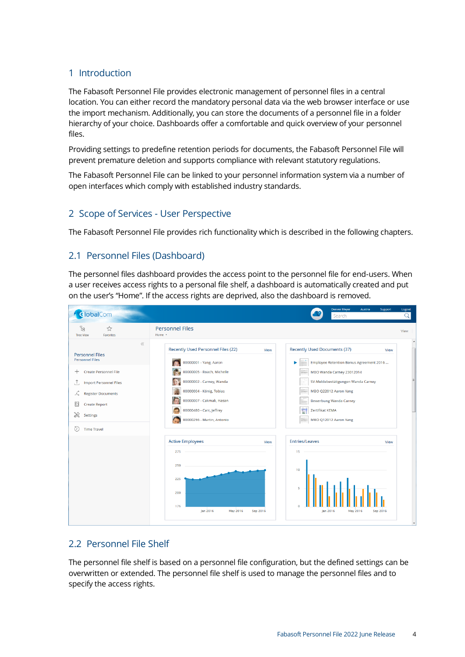#### <span id="page-3-0"></span>1 Introduction

The Fabasoft Personnel File provides electronic management of personnel files in a central location. You can either record the mandatory personal data via the web browser interface or use the import mechanism. Additionally, you can store the documents of a personnel file in a folder hierarchy of your choice. Dashboards offer a comfortable and quick overview of your personnel files.

Providing settings to predefine retention periods for documents, the Fabasoft Personnel File will prevent premature deletion and supports compliance with relevant statutory regulations.

The Fabasoft Personnel File can be linked to your personnel information system via a number of open interfaces which comply with established industry standards.

#### <span id="page-3-1"></span>2 Scope of Services - User Perspective

The Fabasoft Personnel File provides rich functionality which is described in the following chapters.

#### <span id="page-3-2"></span>2.1 Personnel Files (Dashboard)

The personnel files dashboard provides the access point to the personnel file for end-users. When a user receives access rights to a personal file shelf, a dashboard is automatically created and put on the user's "Home". If the access rights are deprived, also the dashboard is removed.



#### <span id="page-3-3"></span>2.2 Personnel File Shelf

The personnel file shelf is based on a personnel file configuration, but the defined settings can be overwritten or extended. The personnel file shelf is used to manage the personnel files and to specify the access rights.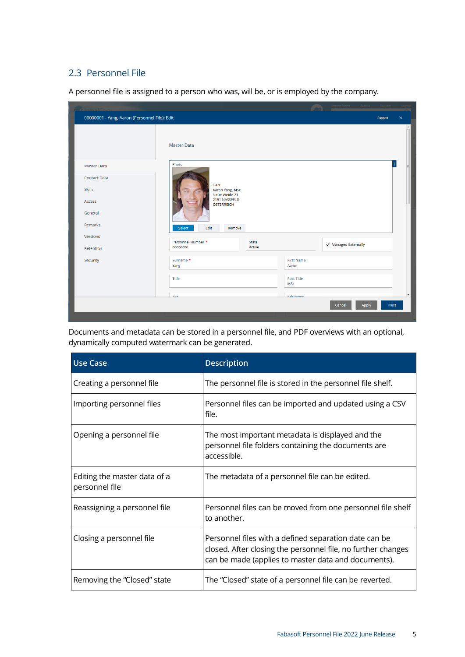### <span id="page-4-0"></span>2.3 Personnel File

A personnel file is assigned to a person who was, will be, or is employed by the company.

|                                               |                                          |        | $\sqrt{2}$        |                      |             |                          |
|-----------------------------------------------|------------------------------------------|--------|-------------------|----------------------|-------------|--------------------------|
| 00000001 - Yang, Aaron (Personnel File): Edit |                                          |        |                   |                      | Support     | $\times$                 |
|                                               | <b>Master Data</b>                       |        |                   |                      |             |                          |
| <b>Master Data</b>                            | Photo                                    |        |                   |                      | j.          |                          |
| <b>Contact Data</b>                           |                                          |        |                   |                      |             |                          |
| <b>Skills</b>                                 | Herr<br>Aaron Yang, MSc<br>Neue Weide 23 |        |                   |                      |             |                          |
| Access                                        | 2191 NASSFELD<br>ÖSTERREICH              |        |                   |                      |             |                          |
| General                                       |                                          |        |                   |                      |             |                          |
| Remarks                                       | Edit<br>Select<br>Remove                 |        |                   |                      |             |                          |
| Versions                                      | Personnel Number *                       | State  |                   |                      |             |                          |
| Retention                                     | 00000001                                 | Active |                   | √ Managed Externally |             |                          |
| Security                                      | Surname*                                 |        | <b>First Name</b> |                      |             |                          |
|                                               | Yang                                     |        | Aaron             |                      |             |                          |
|                                               | Title                                    |        | Post Title        |                      |             |                          |
|                                               |                                          |        | MSc               |                      |             |                          |
|                                               | <b>Sav</b>                               |        | Salutation        |                      |             | $\overline{\phantom{a}}$ |
|                                               |                                          |        |                   | Cancel<br>Apply      | <b>Next</b> |                          |
|                                               |                                          |        |                   |                      |             |                          |

Documents and metadata can be stored in a personnel file, and PDF overviews with an optional, dynamically computed watermark can be generated.

| <b>Use Case</b>                                | <b>Description</b>                                                                                                                                                           |
|------------------------------------------------|------------------------------------------------------------------------------------------------------------------------------------------------------------------------------|
| Creating a personnel file                      | The personnel file is stored in the personnel file shelf.                                                                                                                    |
| Importing personnel files                      | Personnel files can be imported and updated using a CSV<br>file.                                                                                                             |
| Opening a personnel file                       | The most important metadata is displayed and the<br>personnel file folders containing the documents are<br>accessible.                                                       |
| Editing the master data of a<br>personnel file | The metadata of a personnel file can be edited.                                                                                                                              |
| Reassigning a personnel file                   | Personnel files can be moved from one personnel file shelf<br>to another.                                                                                                    |
| Closing a personnel file                       | Personnel files with a defined separation date can be<br>closed. After closing the personnel file, no further changes<br>can be made (applies to master data and documents). |
| Removing the "Closed" state                    | The "Closed" state of a personnel file can be reverted.                                                                                                                      |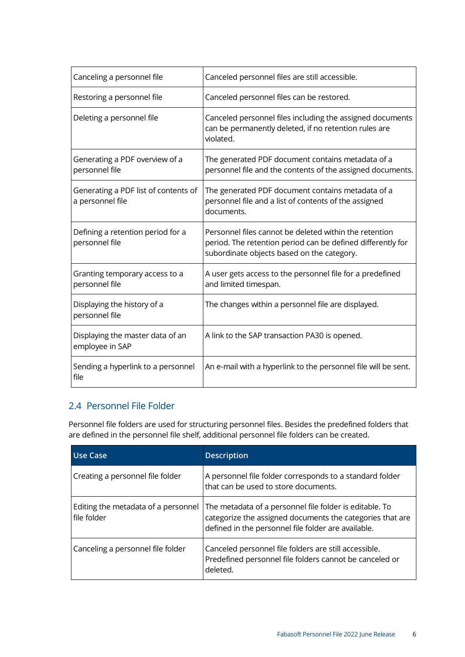| Canceling a personnel file                               | Canceled personnel files are still accessible.                                                                                                                      |
|----------------------------------------------------------|---------------------------------------------------------------------------------------------------------------------------------------------------------------------|
| Restoring a personnel file                               | Canceled personnel files can be restored.                                                                                                                           |
| Deleting a personnel file                                | Canceled personnel files including the assigned documents<br>can be permanently deleted, if no retention rules are<br>violated.                                     |
| Generating a PDF overview of a<br>personnel file         | The generated PDF document contains metadata of a<br>personnel file and the contents of the assigned documents.                                                     |
| Generating a PDF list of contents of<br>a personnel file | The generated PDF document contains metadata of a<br>personnel file and a list of contents of the assigned<br>documents.                                            |
| Defining a retention period for a<br>personnel file      | Personnel files cannot be deleted within the retention<br>period. The retention period can be defined differently for<br>subordinate objects based on the category. |
| Granting temporary access to a<br>personnel file         | A user gets access to the personnel file for a predefined<br>and limited timespan.                                                                                  |
| Displaying the history of a<br>personnel file            | The changes within a personnel file are displayed.                                                                                                                  |
| Displaying the master data of an<br>employee in SAP      | A link to the SAP transaction PA30 is opened.                                                                                                                       |
| Sending a hyperlink to a personnel<br>file               | An e-mail with a hyperlink to the personnel file will be sent.                                                                                                      |

## <span id="page-5-0"></span>2.4 Personnel File Folder

Personnel file folders are used for structuring personnel files. Besides the predefined folders that are defined in the personnel file shelf, additional personnel file folders can be created.

| Use Case                                           | <b>Description</b>                                                                                                                                                          |
|----------------------------------------------------|-----------------------------------------------------------------------------------------------------------------------------------------------------------------------------|
| Creating a personnel file folder                   | A personnel file folder corresponds to a standard folder<br>that can be used to store documents.                                                                            |
| Editing the metadata of a personnel<br>file folder | The metadata of a personnel file folder is editable. To<br>categorize the assigned documents the categories that are<br>defined in the personnel file folder are available. |
| Canceling a personnel file folder                  | Canceled personnel file folders are still accessible.<br>Predefined personnel file folders cannot be canceled or<br>deleted.                                                |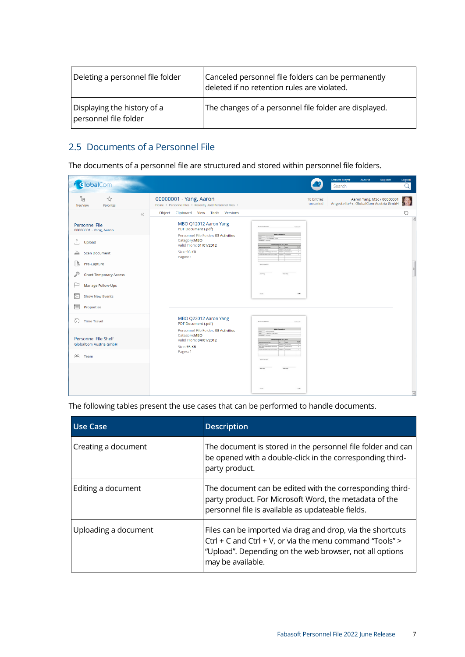| Deleting a personnel file folder                     | Canceled personnel file folders can be permanently<br>deleted if no retention rules are violated. |
|------------------------------------------------------|---------------------------------------------------------------------------------------------------|
| Displaying the history of a<br>personnel file folder | The changes of a personnel file folder are displayed.                                             |

## <span id="page-6-0"></span>2.5 Documents of a Personnel File

The documents of a personnel file are structured and stored within personnel file folders.

| <i><u><b>ClobalCom</b></u></i>                                                                                                 |                                                                                                                                                                                                   |                                                                                                                                                                                                                                                                                      |                               | <b>Denver Meyer</b><br>Search          | Austria                    | Support | Logout   |
|--------------------------------------------------------------------------------------------------------------------------------|---------------------------------------------------------------------------------------------------------------------------------------------------------------------------------------------------|--------------------------------------------------------------------------------------------------------------------------------------------------------------------------------------------------------------------------------------------------------------------------------------|-------------------------------|----------------------------------------|----------------------------|---------|----------|
| ts<br>☆<br><b>Tree View</b><br><b>Favorites</b>                                                                                | 00000001 - Yang, Aaron<br>Home · Personnel Files · Recently Used Personnel Files ·                                                                                                                |                                                                                                                                                                                                                                                                                      | <b>18 Entries</b><br>unsorted | Angestellte/-r, GlobalCom Austria GmbH | Aaron Yang, MSc / 00000001 |         | <b>S</b> |
| $\ll$<br><b>Personnel File</b><br>00000001 - Yang, Aaron<br>Ĵ.<br>Upload<br><b>Scan Document</b><br>$\Rightarrow$              | Object Clipboard View Tools Versions<br>MBO Q12012 Aaron Yang<br>PDF Document (.pdf)<br>Personnel File Folder: 03 Activities<br>Category:MBO<br>Valid From: 01/01/2012<br>Size: 93 KB<br>Pages: 1 | Februari<br><b>MBO-Gespräch</b><br>ante fundamentales<br>on Lawrence<br>mention. Asset Your<br>Zelversinbarung O1 / 2012<br>les.<br>lass<br>104<br><b>De Drie a conter</b><br>minated Dangeler<br>and highly celebrate. 2010-2012. Virtuality of<br><b>Down Parry 1</b><br>Anthytins |                               |                                        |                            |         | ℧        |
| Lò<br>Pre-Capture<br><b>Grant Temporary Access</b><br>Manage Follow-Ups<br>⊢<br>E<br><b>Show New Events</b><br>肩<br>Properties |                                                                                                                                                                                                   | West Lieber 2010<br><b>Turney King</b><br>$\overline{\phantom{a}}$                                                                                                                                                                                                                   |                               |                                        |                            |         |          |
| O)<br><b>Time Travel</b>                                                                                                       | MBO Q22012 Aaron Yang<br>PDF Document (.pdf)<br>Personnel File Folder: 03 Activities<br>Category:MBO                                                                                              | Enhanced<br><b>MEO-Gespräch</b><br>bracklies.<br>IS MADE LINE . NOR                                                                                                                                                                                                                  |                               |                                        |                            |         |          |
| <b>Personnel File Shelf</b><br><b>GlobalCom Austria GmbH</b><br>88 Team                                                        | Valid From: 04/01/2012<br>Size: 93 KB<br>Pages: 1                                                                                                                                                 | entriberung 02 / 2012<br>In Inte America<br><b>MINAREZ Duranted</b><br>Does Perry with highly intred on 2005-2012 Virtualing or<br>$\overline{a}$<br>ARRESTATION AND ARREST DISPUTE<br><b>WALK MARK</b>                                                                              |                               |                                        |                            |         |          |
|                                                                                                                                |                                                                                                                                                                                                   | $\overline{\phantom{0}}$                                                                                                                                                                                                                                                             |                               |                                        |                            |         |          |

The following tables present the use cases that can be performed to handle documents.

| <b>Use Case</b>      | <b>Description</b>                                                                                                                                                                                     |
|----------------------|--------------------------------------------------------------------------------------------------------------------------------------------------------------------------------------------------------|
| Creating a document  | The document is stored in the personnel file folder and can<br>be opened with a double-click in the corresponding third-<br>party product.                                                             |
| Editing a document   | The document can be edited with the corresponding third-<br>party product. For Microsoft Word, the metadata of the<br>personnel file is available as updateable fields.                                |
| Uploading a document | Files can be imported via drag and drop, via the shortcuts<br>Ctrl + C and Ctrl + V, or via the menu command "Tools" ><br>"Upload". Depending on the web browser, not all options<br>may be available. |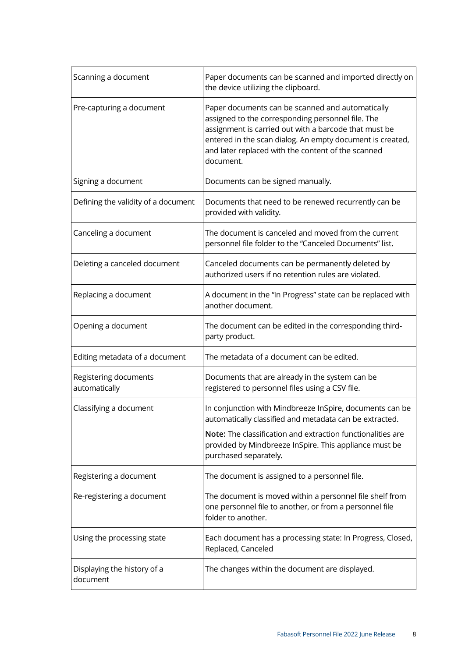| Scanning a document                     | Paper documents can be scanned and imported directly on<br>the device utilizing the clipboard.                                                                                                                                                                                                 |
|-----------------------------------------|------------------------------------------------------------------------------------------------------------------------------------------------------------------------------------------------------------------------------------------------------------------------------------------------|
| Pre-capturing a document                | Paper documents can be scanned and automatically<br>assigned to the corresponding personnel file. The<br>assignment is carried out with a barcode that must be<br>entered in the scan dialog. An empty document is created,<br>and later replaced with the content of the scanned<br>document. |
| Signing a document                      | Documents can be signed manually.                                                                                                                                                                                                                                                              |
| Defining the validity of a document     | Documents that need to be renewed recurrently can be<br>provided with validity.                                                                                                                                                                                                                |
| Canceling a document                    | The document is canceled and moved from the current<br>personnel file folder to the "Canceled Documents" list.                                                                                                                                                                                 |
| Deleting a canceled document            | Canceled documents can be permanently deleted by<br>authorized users if no retention rules are violated.                                                                                                                                                                                       |
| Replacing a document                    | A document in the "In Progress" state can be replaced with<br>another document.                                                                                                                                                                                                                |
| Opening a document                      | The document can be edited in the corresponding third-<br>party product.                                                                                                                                                                                                                       |
| Editing metadata of a document          | The metadata of a document can be edited.                                                                                                                                                                                                                                                      |
| Registering documents<br>automatically  | Documents that are already in the system can be<br>registered to personnel files using a CSV file.                                                                                                                                                                                             |
| Classifying a document                  | In conjunction with Mindbreeze InSpire, documents can be<br>automatically classified and metadata can be extracted.                                                                                                                                                                            |
|                                         | Note: The classification and extraction functionalities are<br>provided by Mindbreeze InSpire. This appliance must be<br>purchased separately.                                                                                                                                                 |
| Registering a document                  | The document is assigned to a personnel file.                                                                                                                                                                                                                                                  |
| Re-registering a document               | The document is moved within a personnel file shelf from<br>one personnel file to another, or from a personnel file<br>folder to another.                                                                                                                                                      |
| Using the processing state              | Each document has a processing state: In Progress, Closed,<br>Replaced, Canceled                                                                                                                                                                                                               |
| Displaying the history of a<br>document | The changes within the document are displayed.                                                                                                                                                                                                                                                 |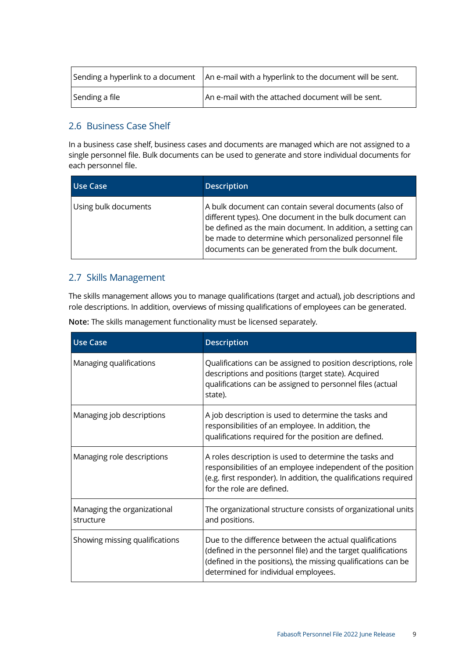|                | Sending a hyperlink to a document   An e-mail with a hyperlink to the document will be sent. |  |  |
|----------------|----------------------------------------------------------------------------------------------|--|--|
| Sending a file | An e-mail with the attached document will be sent.                                           |  |  |

#### <span id="page-8-0"></span>2.6 Business Case Shelf

In a business case shelf, business cases and documents are managed which are not assigned to a single personnel file. Bulk documents can be used to generate and store individual documents for each personnel file.

| Use Case             | <b>Description</b>                                                                                                                                                                                                                                                                               |
|----------------------|--------------------------------------------------------------------------------------------------------------------------------------------------------------------------------------------------------------------------------------------------------------------------------------------------|
| Using bulk documents | A bulk document can contain several documents (also of<br>different types). One document in the bulk document can<br>be defined as the main document. In addition, a setting can<br>be made to determine which personalized personnel file<br>documents can be generated from the bulk document. |

#### <span id="page-8-1"></span>2.7 Skills Management

The skills management allows you to manage qualifications (target and actual), job descriptions and role descriptions. In addition, overviews of missing qualifications of employees can be generated.

|  | Note: The skills management functionality must be licensed separately. |  |  |
|--|------------------------------------------------------------------------|--|--|
|  |                                                                        |  |  |

| <b>Use Case</b>                          | <b>Description</b>                                                                                                                                                                                                                |
|------------------------------------------|-----------------------------------------------------------------------------------------------------------------------------------------------------------------------------------------------------------------------------------|
| Managing qualifications                  | Qualifications can be assigned to position descriptions, role<br>descriptions and positions (target state). Acquired<br>qualifications can be assigned to personnel files (actual<br>state).                                      |
| Managing job descriptions                | A job description is used to determine the tasks and<br>responsibilities of an employee. In addition, the<br>qualifications required for the position are defined.                                                                |
| Managing role descriptions               | A roles description is used to determine the tasks and<br>responsibilities of an employee independent of the position<br>(e.g. first responder). In addition, the qualifications required<br>for the role are defined.            |
| Managing the organizational<br>structure | The organizational structure consists of organizational units<br>and positions.                                                                                                                                                   |
| Showing missing qualifications           | Due to the difference between the actual qualifications<br>(defined in the personnel file) and the target qualifications<br>(defined in the positions), the missing qualifications can be<br>determined for individual employees. |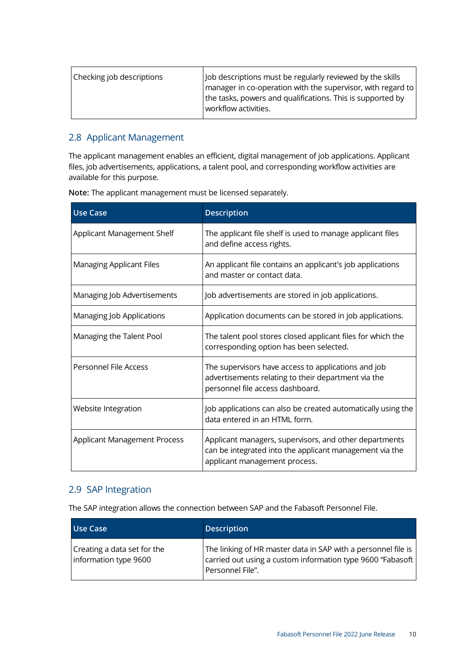| Checking job descriptions | Job descriptions must be regularly reviewed by the skills<br>$\vert$ manager in co-operation with the supervisor, with regard to $\vert$<br>the tasks, powers and qualifications. This is supported by |
|---------------------------|--------------------------------------------------------------------------------------------------------------------------------------------------------------------------------------------------------|
|                           | workflow activities.                                                                                                                                                                                   |

#### <span id="page-9-0"></span>2.8 Applicant Management

The applicant management enables an efficient, digital management of job applications. Applicant files, job advertisements, applications, a talent pool, and corresponding workflow activities are available for this purpose.

| <b>Use Case</b>                     | <b>Description</b>                                                                                                                                 |
|-------------------------------------|----------------------------------------------------------------------------------------------------------------------------------------------------|
| Applicant Management Shelf          | The applicant file shelf is used to manage applicant files<br>and define access rights.                                                            |
| <b>Managing Applicant Files</b>     | An applicant file contains an applicant's job applications<br>and master or contact data.                                                          |
| Managing Job Advertisements         | Job advertisements are stored in job applications.                                                                                                 |
| Managing Job Applications           | Application documents can be stored in job applications.                                                                                           |
| Managing the Talent Pool            | The talent pool stores closed applicant files for which the<br>corresponding option has been selected.                                             |
| Personnel File Access               | The supervisors have access to applications and job<br>advertisements relating to their department via the<br>personnel file access dashboard.     |
| Website Integration                 | Job applications can also be created automatically using the<br>data entered in an HTML form.                                                      |
| <b>Applicant Management Process</b> | Applicant managers, supervisors, and other departments<br>can be integrated into the applicant management via the<br>applicant management process. |

**Note:** The applicant management must be licensed separately.

#### <span id="page-9-1"></span>2.9 SAP Integration

The SAP integration allows the connection between SAP and the Fabasoft Personnel File.

| Use Case                                             | <b>Description</b>                                                                                                                              |
|------------------------------------------------------|-------------------------------------------------------------------------------------------------------------------------------------------------|
| Creating a data set for the<br>information type 9600 | The linking of HR master data in SAP with a personnel file is<br>carried out using a custom information type 9600 "Fabasoft<br>Personnel File". |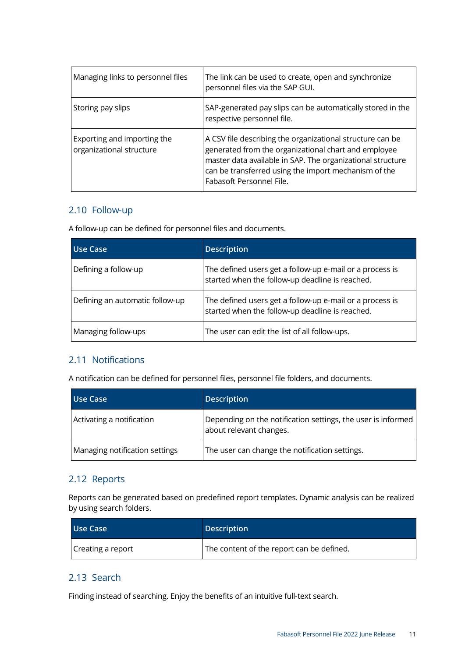| Managing links to personnel files                       | The link can be used to create, open and synchronize<br>personnel files via the SAP GUI.                                                                                                                                                                            |
|---------------------------------------------------------|---------------------------------------------------------------------------------------------------------------------------------------------------------------------------------------------------------------------------------------------------------------------|
| Storing pay slips                                       | SAP-generated pay slips can be automatically stored in the<br>respective personnel file.                                                                                                                                                                            |
| Exporting and importing the<br>organizational structure | A CSV file describing the organizational structure can be<br>generated from the organizational chart and employee<br>master data available in SAP. The organizational structure<br>can be transferred using the import mechanism of the<br>Fabasoft Personnel File. |

#### <span id="page-10-0"></span>2.10 Follow-up

A follow-up can be defined for personnel files and documents.

| Use Case                        | <b>Description</b>                                                                                          |
|---------------------------------|-------------------------------------------------------------------------------------------------------------|
| Defining a follow-up            | The defined users get a follow-up e-mail or a process is<br>started when the follow-up deadline is reached. |
| Defining an automatic follow-up | The defined users get a follow-up e-mail or a process is<br>started when the follow-up deadline is reached. |
| Managing follow-ups             | The user can edit the list of all follow-ups.                                                               |

#### <span id="page-10-1"></span>2.11 Notifications

A notification can be defined for personnel files, personnel file folders, and documents.

| Use Case                       | <b>Description</b>                                                                      |
|--------------------------------|-----------------------------------------------------------------------------------------|
| Activating a notification      | Depending on the notification settings, the user is informed<br>about relevant changes. |
| Managing notification settings | The user can change the notification settings.                                          |

#### <span id="page-10-2"></span>2.12 Reports

Reports can be generated based on predefined report templates. Dynamic analysis can be realized by using search folders.

| Use Case          | <b>Description</b>                        |
|-------------------|-------------------------------------------|
| Creating a report | The content of the report can be defined. |

#### <span id="page-10-3"></span>2.13 Search

Finding instead of searching. Enjoy the benefits of an intuitive full-text search.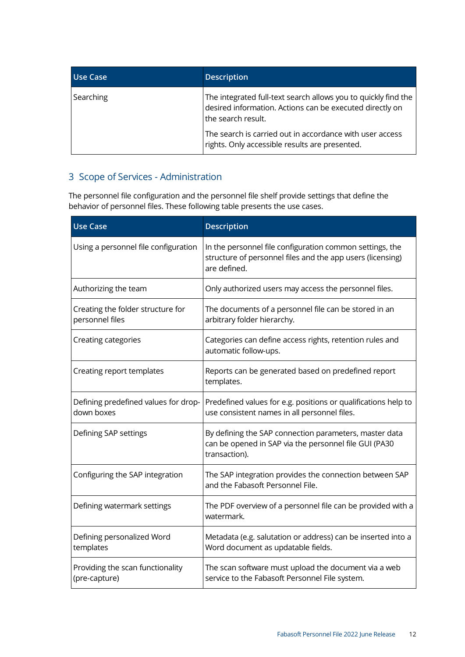| Use Case  | <b>Description</b>                                                                                                                               |
|-----------|--------------------------------------------------------------------------------------------------------------------------------------------------|
| Searching | The integrated full-text search allows you to quickly find the<br>desired information. Actions can be executed directly on<br>the search result. |
|           | The search is carried out in accordance with user access<br>rights. Only accessible results are presented.                                       |

# <span id="page-11-0"></span>3 Scope of Services - Administration

The personnel file configuration and the personnel file shelf provide settings that define the behavior of personnel files. These following table presents the use cases.

| <b>Use Case</b>                                      | <b>Description</b>                                                                                                                     |
|------------------------------------------------------|----------------------------------------------------------------------------------------------------------------------------------------|
| Using a personnel file configuration                 | In the personnel file configuration common settings, the<br>structure of personnel files and the app users (licensing)<br>are defined. |
| Authorizing the team                                 | Only authorized users may access the personnel files.                                                                                  |
| Creating the folder structure for<br>personnel files | The documents of a personnel file can be stored in an<br>arbitrary folder hierarchy.                                                   |
| Creating categories                                  | Categories can define access rights, retention rules and<br>automatic follow-ups.                                                      |
| Creating report templates                            | Reports can be generated based on predefined report<br>templates.                                                                      |
| Defining predefined values for drop-<br>down boxes   | Predefined values for e.g. positions or qualifications help to<br>use consistent names in all personnel files.                         |
| Defining SAP settings                                | By defining the SAP connection parameters, master data<br>can be opened in SAP via the personnel file GUI (PA30<br>transaction).       |
| Configuring the SAP integration                      | The SAP integration provides the connection between SAP<br>and the Fabasoft Personnel File.                                            |
| Defining watermark settings                          | The PDF overview of a personnel file can be provided with a<br>watermark.                                                              |
| Defining personalized Word<br>templates              | Metadata (e.g. salutation or address) can be inserted into a<br>Word document as updatable fields.                                     |
| Providing the scan functionality<br>(pre-capture)    | The scan software must upload the document via a web<br>service to the Fabasoft Personnel File system.                                 |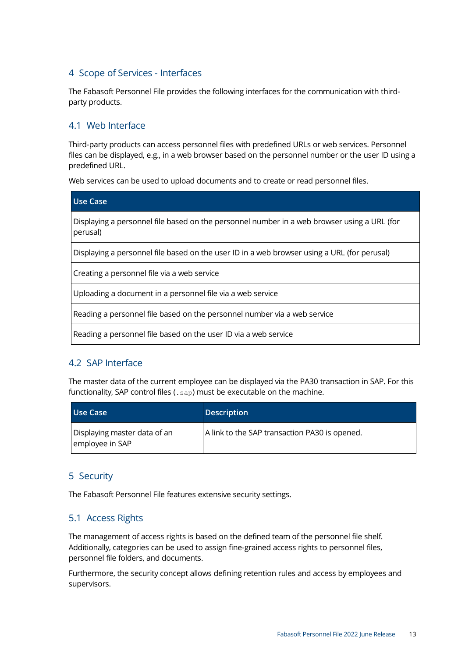#### <span id="page-12-0"></span>4 Scope of Services - Interfaces

The Fabasoft Personnel File provides the following interfaces for the communication with thirdparty products.

#### <span id="page-12-1"></span>4.1 Web Interface

Third-party products can access personnel files with predefined URLs or web services. Personnel files can be displayed, e.g., in a web browser based on the personnel number or the user ID using a predefined URL.

Web services can be used to upload documents and to create or read personnel files.

| <b>Use Case</b>                                                                                         |
|---------------------------------------------------------------------------------------------------------|
| Displaying a personnel file based on the personnel number in a web browser using a URL (for<br>perusal) |
| Displaying a personnel file based on the user ID in a web browser using a URL (for perusal)             |
| Creating a personnel file via a web service                                                             |
| Uploading a document in a personnel file via a web service                                              |
| Reading a personnel file based on the personnel number via a web service                                |
| Reading a personnel file based on the user ID via a web service                                         |

#### <span id="page-12-2"></span>4.2 SAP Interface

The master data of the current employee can be displayed via the PA30 transaction in SAP. For this functionality, SAP control files (. sap) must be executable on the machine.

| <b>Use Case</b>                                 | <b>Description</b>                            |
|-------------------------------------------------|-----------------------------------------------|
| Displaying master data of an<br>employee in SAP | A link to the SAP transaction PA30 is opened. |

#### <span id="page-12-3"></span>5 Security

The Fabasoft Personnel File features extensive security settings.

#### <span id="page-12-4"></span>5.1 Access Rights

The management of access rights is based on the defined team of the personnel file shelf. Additionally, categories can be used to assign fine-grained access rights to personnel files, personnel file folders, and documents.

Furthermore, the security concept allows defining retention rules and access by employees and supervisors.